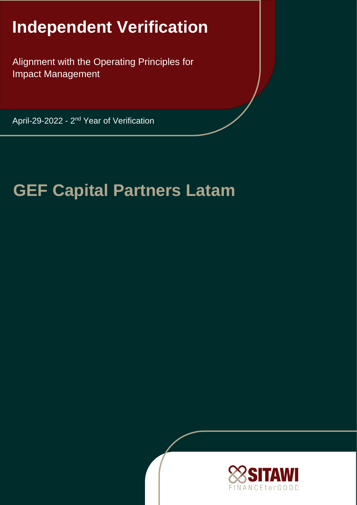# **Independent Verification**

Alignment with the Operating Principles for Impact Management

April-29-2022 - 2<sup>nd</sup> Year of Verification

# **GEF Capital Partners Latam**

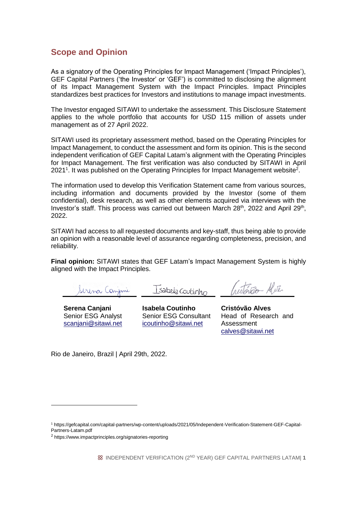## **Scope and Opinion**

As a signatory of the Operating Principles for Impact Management ('Impact Principles'), GEF Capital Partners ('the Investor' or 'GEF') is committed to disclosing the alignment of its Impact Management System with the Impact Principles. Impact Principles standardizes best practices for Investors and institutions to manage impact investments.

The Investor engaged SITAWI to undertake the assessment. This Disclosure Statement applies to the whole portfolio that accounts for USD 115 million of assets under management as of 27 April 2022.

SITAWI used its proprietary assessment method, based on the Operating Principles for Impact Management, to conduct the assessment and form its opinion. This is the second independent verification of GEF Capital Latam's alignment with the Operating Principles for Impact Management. The first verification was also conducted by SITAWI in April 2021<sup>1</sup>. It was published on the Operating Principles for Impact Management website<sup>2</sup>.

The information used to develop this Verification Statement came from various sources, including information and documents provided by the Investor (some of them confidential), desk research, as well as other elements acquired via interviews with the Investor's staff. This process was carried out between March 28<sup>th</sup>, 2022 and April 29<sup>th</sup>, 2022.

SITAWI had access to all requested documents and key-staff, thus being able to provide an opinion with a reasonable level of assurance regarding completeness, precision, and reliability.

**Final opinion:** SITAWI states that GEF Latam's Impact Management System is highly aligned with the Impact Principles.

Serina Canjani

Isabela Coutinho

**Serena Canjani** Senior ESG Analyst scanjani@sitawi.net

 $\overline{a}$ 

**Isabela Coutinho** Senior ESG Consultant icoutinho@sitawi.net

trition Aliter

**Cristóvão Alves** Head of Research and Assessment calves@sitawi.net

Rio de Janeiro, Brazil | April 29th, 2022.

<sup>1</sup> https://gefcapital.com/capital-partners/wp-content/uploads/2021/05/Independent-Verification-Statement-GEF-Capital-Partners-Latam.pdf

<sup>&</sup>lt;sup>2</sup> https://www.impactprinciples.org/signatories-reporting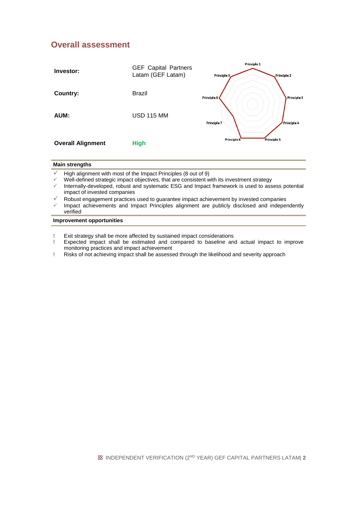## **Overall assessment**



| Main strengths                                                              |
|-----------------------------------------------------------------------------|
| $\checkmark$ High alignment with most of the Impact Principles (8 out of 9) |

- Well-defined strategic impact objectives, that are consistent with its investment strategy
- Internally-developed, robust and systematic ESG and Impact framework is used to assess potential impact of invested companies
- Robust engagement practices used to guarantee impact achievement by invested companies
- Impact achievements and Impact Principles alignment are publicly disclosed and independently verified

### **Improvement opportunities**

- **!** Exit strategy shall be more affected by sustained impact considerations
- **!** Expected impact shall be estimated and compared to baseline and actual impact to improve monitoring practices and impact achievement
- **!** Risks of not achieving impact shall be assessed through the likelihood and severity approach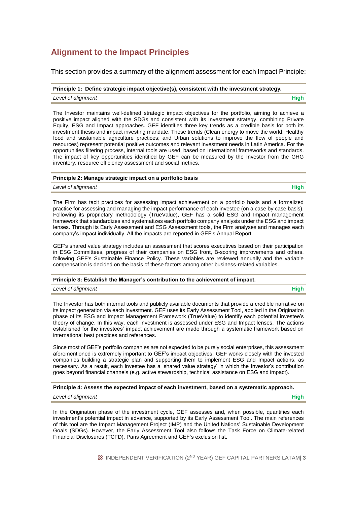# **Alignment to the Impact Principles**

This section provides a summary of the alignment assessment for each Impact Principle:

**Principle 1: Define strategic impact objective(s), consistent with the investment strategy.**

*Level of alignment* **High**

The Investor maintains well-defined strategic impact objectives for the portfolio, aiming to achieve a positive impact aligned with the SDGs and consistent with its investment strategy, combining Private Equity, ESG and Impact approaches. GEF identifies three key trends as a credible basis for both its investment thesis and impact investing mandate. These trends (Clean energy to move the world; Healthy food and sustainable agriculture practices; and Urban solutions to improve the flow of people and resources) represent potential positive outcomes and relevant investment needs in Latin America. For the opportunities filtering process, internal tools are used, based on international frameworks and standards. The impact of key opportunities identified by GEF can be measured by the Investor from the GHG inventory, resource efficiency assessment and social metrics.

#### **Principle 2: Manage strategic impact on a portfolio basis**

*Level of alignment* **High**

The Firm has tacit practices for assessing impact achievement on a portfolio basis and a formalized practice for assessing and managing the impact performance of each investee (on a case by case basis). Following its proprietary methodology (TrueValue), GEF has a solid ESG and Impact management framework that standardizes and systematizes each portfolio company analysis under the ESG and impact lenses. Through its Early Assessment and ESG Assessment tools, the Firm analyses and manages each company's impact individually. All the impacts are reported in GEF's Annual Report.

GEF's shared value strategy includes an assessment that scores executives based on their participation in ESG Committees, progress of their companies on ESG front, B-scoring improvements and others, following GEF's Sustainable Finance Policy. These variables are reviewed annually and the variable compensation is decided on the basis of these factors among other business-related variables.

#### **Principle 3: Establish the Manager's contribution to the achievement of impact.**

#### *Level of alignment* **High**

The Investor has both internal tools and publicly available documents that provide a credible narrative on its impact generation via each investment. GEF uses its Early Assessment Tool, applied in the Origination phase of its ESG and Impact Management Framework (TrueValue) to identify each potential investee's theory of change. In this way, each investment is assessed under ESG and Impact lenses. The actions established for the investees' impact achievement are made through a systematic framework based on international best practices and references.

Since most of GEF's portfolio companies are not expected to be purely social enterprises, this assessment aforementioned is extremely important to GEF's impact objectives. GEF works closely with the invested companies building a strategic plan and supporting them to implement ESG and Impact actions, as necessary. As a result, each investee has a 'shared value strategy' in which the Investor's contribution goes beyond financial channels (e.g. active stewardship, technical assistance on ESG and impact).

#### **Principle 4: Assess the expected impact of each investment, based on a systematic approach.**

#### *Level of alignment* **High**

In the Origination phase of the investment cycle, GEF assesses and, when possible, quantifies each investment's potential impact in advance, supported by its Early Assessment Tool. The main references of this tool are the Impact Management Project (IMP) and the United Nations' Sustainable Development Goals (SDGs). However, the Early Assessment Tool also follows the Task Force on Climate-related Financial Disclosures (TCFD), Paris Agreement and GEF's exclusion list.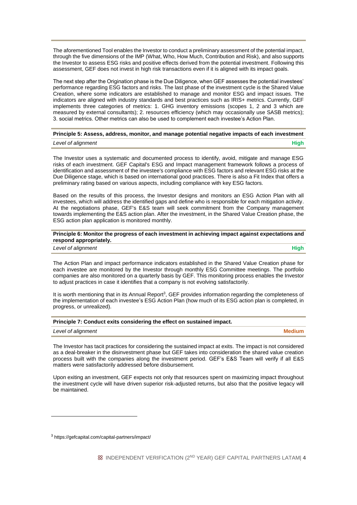The aforementioned Tool enables the Investor to conduct a preliminary assessment of the potential impact, through the five dimensions of the IMP (What, Who, How Much, Contribution and Risk), and also supports the Investor to assess ESG risks and positive effects derived from the potential investment. Following this assessment, GEF does not invest in high risk transactions even if it is aligned with its impact goals.

The next step after the Origination phase is the Due Diligence, when GEF assesses the potential investees' performance regarding ESG factors and risks. The last phase of the investment cycle is the Shared Value Creation, where some indicators are established to manage and monitor ESG and impact issues. The indicators are aligned with industry standards and best practices such as IRIS+ metrics. Currently, GEF implements three categories of metrics: 1. GHG inventory emissions (scopes 1, 2 and 3 which are measured by external consultants); 2. resources efficiency (which may occasionally use SASB metrics); 3. social metrics. Other metrics can also be used to complement each investee's Action Plan.

|                    | Principle 5: Assess, address, monitor, and manage potential negative impacts of each investment |
|--------------------|-------------------------------------------------------------------------------------------------|
| Level of alignment | High                                                                                            |

The Investor uses a systematic and documented process to identify, avoid, mitigate and manage ESG risks of each investment. GEF Capital's ESG and Impact management framework follows a process of identification and assessment of the investee's compliance with ESG factors and relevant ESG risks at the Due Diligence stage, which is based on international good practices. There is also a Fit Index that offers a preliminary rating based on various aspects, including compliance with key ESG factors.

Based on the results of this process, the Investor designs and monitors an ESG Action Plan with all investees, which will address the identified gaps and define who is responsible for each mitigation activity. At the negotiations phase, GEF's E&S team will seek commitment from the Company management towards implementing the E&S action plan. After the investment, in the Shared Value Creation phase, the ESG action plan application is monitored monthly.

#### **Principle 6: Monitor the progress of each investment in achieving impact against expectations and respond appropriately.**

*Level of alignment* **High**

The Action Plan and impact performance indicators established in the Shared Value Creation phase for each investee are monitored by the Investor through monthly ESG Committee meetings. The portfolio companies are also monitored on a quarterly basis by GEF. This monitoring process enables the Investor to adjust practices in case it identifies that a company is not evolving satisfactorily.

It is worth mentioning that in its Annual Report<sup>3</sup>, GEF provides information regarding the completeness of the implementation of each investee's ESG Action Plan (how much of its ESG action plan is completed, in progress, or unrealized).

| Principle 7: Conduct exits considering the effect on sustained impact. |  |  |  |  |  |
|------------------------------------------------------------------------|--|--|--|--|--|
|------------------------------------------------------------------------|--|--|--|--|--|

| Level of alignment | <b>Medium</b> |
|--------------------|---------------|
|--------------------|---------------|

The Investor has tacit practices for considering the sustained impact at exits. The impact is not considered as a deal-breaker in the disinvestment phase but GEF takes into consideration the shared value creation process built with the companies along the investment period. GEF's E&S Team will verify if all E&S matters were satisfactorily addressed before disbursement.

Upon exiting an investment, GEF expects not only that resources spent on maximizing impact throughout the investment cycle will have driven superior risk-adjusted returns, but also that the positive legacy will be maintained.

 $\overline{a}$ 

<sup>3</sup> https://gefcapital.com/capital-partners/impact/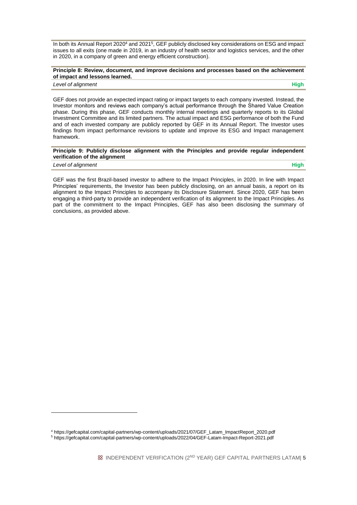In both its Annual Report 2020<sup>4</sup> and 2021<sup>5</sup>, GEF publicly disclosed key considerations on ESG and impact issues to all exits (one made in 2019, in an industry of health sector and logistics services, and the other in 2020, in a company of green and energy efficient construction).

#### **Principle 8: Review, document, and improve decisions and processes based on the achievement of impact and lessons learned.**

#### *Level of alignment* **High**

GEF does not provide an expected impact rating or impact targets to each company invested. Instead, the Investor monitors and reviews each company's actual performance through the Shared Value Creation phase. During this phase, GEF conducts monthly internal meetings and quarterly reports to its Global Investment Committee and its limited partners. The actual impact and ESG performance of both the Fund and of each invested company are publicly reported by GEF in its Annual Report. The Investor uses findings from impact performance revisions to update and improve its ESG and Impact management framework.

#### **Principle 9: Publicly disclose alignment with the Principles and provide regular independent verification of the alignment**

*Level of alignment* **High**

1

GEF was the first Brazil-based investor to adhere to the Impact Principles, in 2020. In line with Impact Principles' requirements, the Investor has been publicly disclosing, on an annual basis, a report on its alignment to the Impact Principles to accompany its Disclosure Statement. Since 2020, GEF has been engaging a third-party to provide an independent verification of its alignment to the Impact Principles. As part of the commitment to the Impact Principles, GEF has also been disclosing the summary of conclusions, as provided above.

<sup>4</sup> https://gefcapital.com/capital-partners/wp-content/uploads/2021/07/GEF\_Latam\_ImpactReport\_2020.pdf

<sup>5</sup> https://gefcapital.com/capital-partners/wp-content/uploads/2022/04/GEF-Latam-Impact-Report-2021.pdf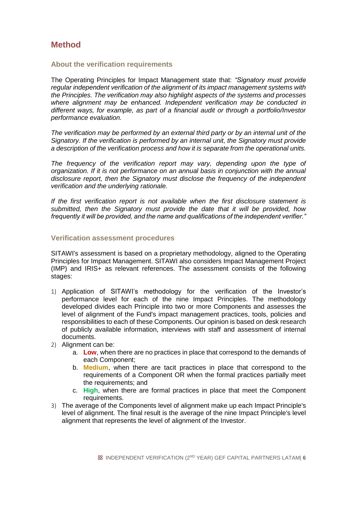# **Method**

## **About the verification requirements**

The Operating Principles for Impact Management state that: *"Signatory must provide regular independent verification of the alignment of its impact management systems with the Principles. The verification may also highlight aspects of the systems and processes where alignment may be enhanced. Independent verification may be conducted in different ways, for example, as part of a financial audit or through a portfolio/Investor performance evaluation.* 

*The verification may be performed by an external third party or by an internal unit of the Signatory. If the verification is performed by an internal unit, the Signatory must provide a description of the verification process and how it is separate from the operational units.* 

The frequency of the verification report may vary, depending upon the type of *organization. If it is not performance on an annual basis in conjunction with the annual disclosure report, then the Signatory must disclose the frequency of the independent verification and the underlying rationale.* 

*If the first verification report is not available when the first disclosure statement is submitted, then the Signatory must provide the date that it will be provided, how frequently it will be provided, and the name and qualifications of the independent verifier."*

## **Verification assessment procedures**

SITAWI's assessment is based on a proprietary methodology, aligned to the Operating Principles for Impact Management. SITAWI also considers Impact Management Project (IMP) and IRIS+ as relevant references. The assessment consists of the following stages:

- 1) Application of SITAWI's methodology for the verification of the Investor's performance level for each of the nine Impact Principles. The methodology developed divides each Principle into two or more Components and assesses the level of alignment of the Fund's impact management practices, tools, policies and responsibilities to each of these Components. Our opinion is based on desk research of publicly available information, interviews with staff and assessment of internal documents.
- 2) Alignment can be:
	- a. **Low**, when there are no practices in place that correspond to the demands of each Component;
	- b. **Medium**, when there are tacit practices in place that correspond to the requirements of a Component OR when the formal practices partially meet the requirements; and
	- c. **High**, when there are formal practices in place that meet the Component requirements.
- 3) The average of the Components level of alignment make up each Impact Principle's level of alignment. The final result is the average of the nine Impact Principle's level alignment that represents the level of alignment of the Investor.